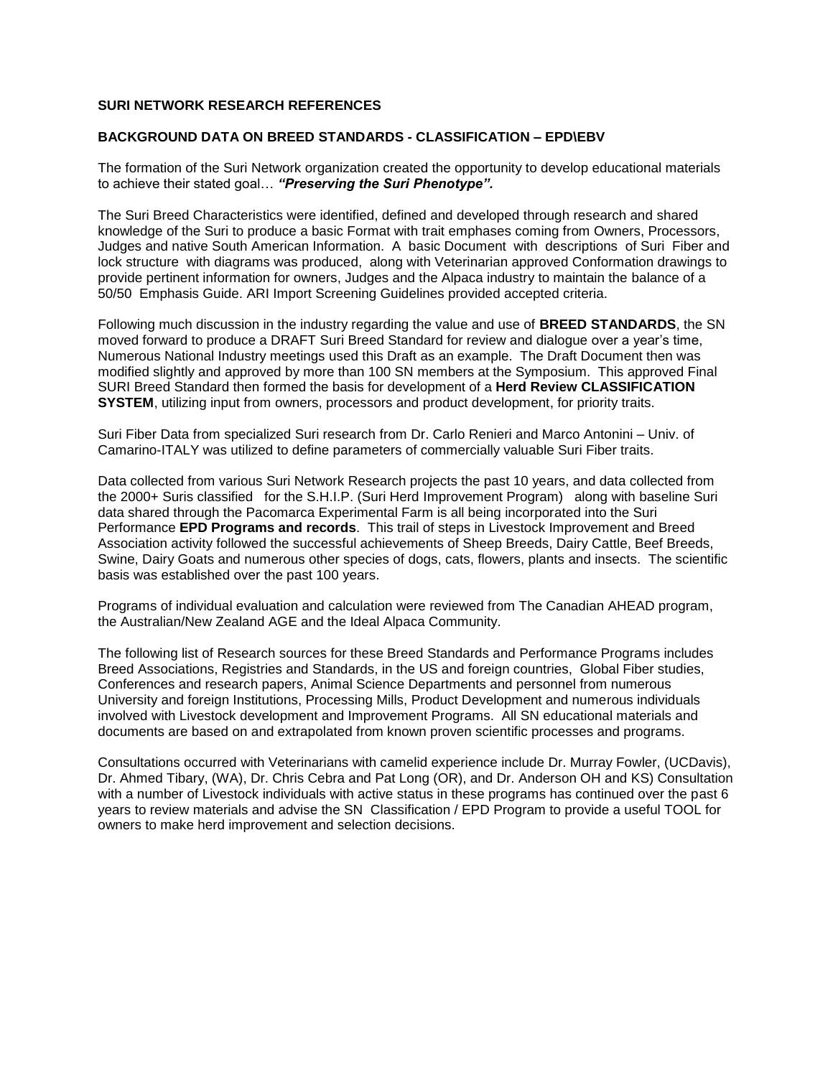### **SURI NETWORK RESEARCH REFERENCES**

### **BACKGROUND DATA ON BREED STANDARDS - CLASSIFICATION – EPD\EBV**

The formation of the Suri Network organization created the opportunity to develop educational materials to achieve their stated goal… *"Preserving the Suri Phenotype".*

The Suri Breed Characteristics were identified, defined and developed through research and shared knowledge of the Suri to produce a basic Format with trait emphases coming from Owners, Processors, Judges and native South American Information. A basic Document with descriptions of Suri Fiber and lock structure with diagrams was produced, along with Veterinarian approved Conformation drawings to provide pertinent information for owners, Judges and the Alpaca industry to maintain the balance of a 50/50 Emphasis Guide. ARI Import Screening Guidelines provided accepted criteria.

Following much discussion in the industry regarding the value and use of **BREED STANDARDS**, the SN moved forward to produce a DRAFT Suri Breed Standard for review and dialogue over a year's time, Numerous National Industry meetings used this Draft as an example. The Draft Document then was modified slightly and approved by more than 100 SN members at the Symposium. This approved Final SURI Breed Standard then formed the basis for development of a **Herd Review CLASSIFICATION SYSTEM**, utilizing input from owners, processors and product development, for priority traits.

Suri Fiber Data from specialized Suri research from Dr. Carlo Renieri and Marco Antonini – Univ. of Camarino-ITALY was utilized to define parameters of commercially valuable Suri Fiber traits.

Data collected from various Suri Network Research projects the past 10 years, and data collected from the 2000+ Suris classified for the S.H.I.P. (Suri Herd Improvement Program) along with baseline Suri data shared through the Pacomarca Experimental Farm is all being incorporated into the Suri Performance **EPD Programs and records**. This trail of steps in Livestock Improvement and Breed Association activity followed the successful achievements of Sheep Breeds, Dairy Cattle, Beef Breeds, Swine, Dairy Goats and numerous other species of dogs, cats, flowers, plants and insects. The scientific basis was established over the past 100 years.

Programs of individual evaluation and calculation were reviewed from The Canadian AHEAD program, the Australian/New Zealand AGE and the Ideal Alpaca Community.

The following list of Research sources for these Breed Standards and Performance Programs includes Breed Associations, Registries and Standards, in the US and foreign countries, Global Fiber studies, Conferences and research papers, Animal Science Departments and personnel from numerous University and foreign Institutions, Processing Mills, Product Development and numerous individuals involved with Livestock development and Improvement Programs. All SN educational materials and documents are based on and extrapolated from known proven scientific processes and programs.

Consultations occurred with Veterinarians with camelid experience include Dr. Murray Fowler, (UCDavis), Dr. Ahmed Tibary, (WA), Dr. Chris Cebra and Pat Long (OR), and Dr. Anderson OH and KS) Consultation with a number of Livestock individuals with active status in these programs has continued over the past 6 years to review materials and advise the SN Classification / EPD Program to provide a useful TOOL for owners to make herd improvement and selection decisions.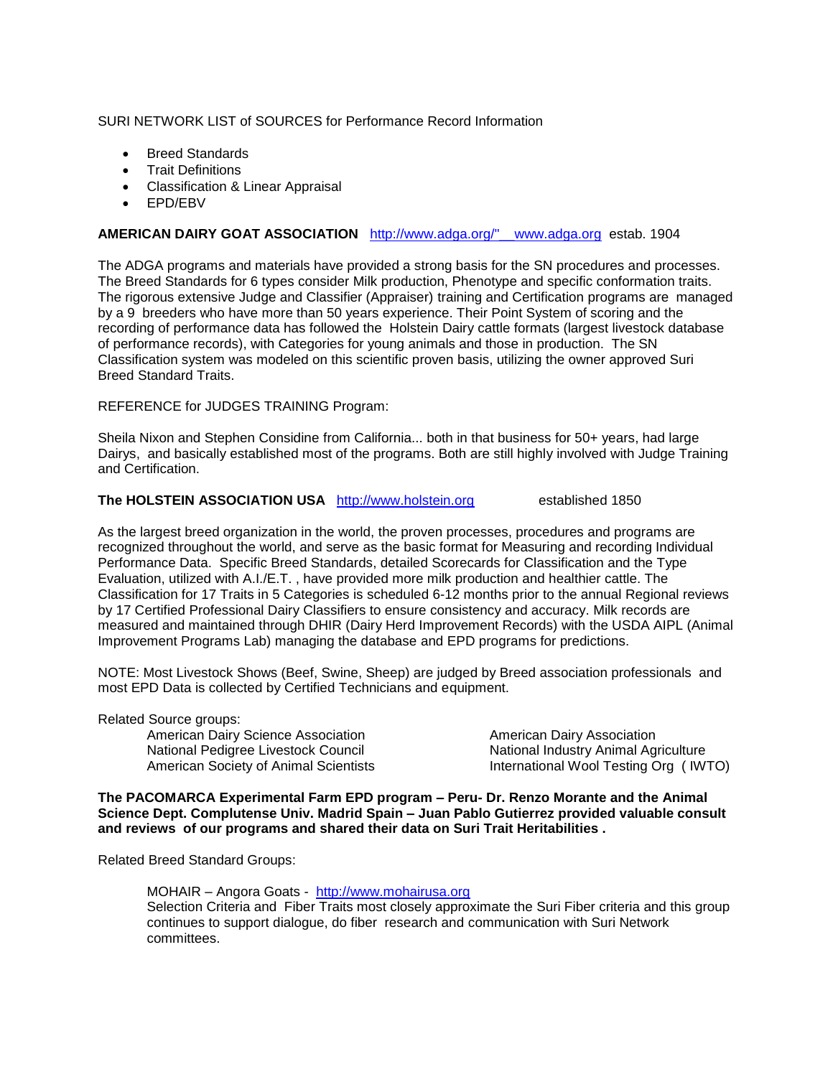### SURI NETWORK LIST of SOURCES for Performance Record Information

- Breed Standards
- Trait Definitions
- Classification & Linear Appraisal
- EPD/EBV

# **AMERICAN DAIRY GOAT ASSOCIATION** [http://www.adga.org/"\\_\\_www.adga.org](http://www.adga.org/%22__www.adga.org) estab. 1904

The ADGA programs and materials have provided a strong basis for the SN procedures and processes. The Breed Standards for 6 types consider Milk production, Phenotype and specific conformation traits. The rigorous extensive Judge and Classifier (Appraiser) training and Certification programs are managed by a 9 breeders who have more than 50 years experience. Their Point System of scoring and the recording of performance data has followed the Holstein Dairy cattle formats (largest livestock database of performance records), with Categories for young animals and those in production. The SN Classification system was modeled on this scientific proven basis, utilizing the owner approved Suri Breed Standard Traits.

## REFERENCE for JUDGES TRAINING Program:

Sheila Nixon and Stephen Considine from California... both in that business for 50+ years, had large Dairys, and basically established most of the programs. Both are still highly involved with Judge Training and Certification.

# **The HOLSTEIN ASSOCIATION USA** [http://www.holstein.org](http://www.holstein.org/) established 1850

As the largest breed organization in the world, the proven processes, procedures and programs are recognized throughout the world, and serve as the basic format for Measuring and recording Individual Performance Data. Specific Breed Standards, detailed Scorecards for Classification and the Type Evaluation, utilized with A.I./E.T. , have provided more milk production and healthier cattle. The Classification for 17 Traits in 5 Categories is scheduled 6-12 months prior to the annual Regional reviews by 17 Certified Professional Dairy Classifiers to ensure consistency and accuracy. Milk records are measured and maintained through DHIR (Dairy Herd Improvement Records) with the USDA AIPL (Animal Improvement Programs Lab) managing the database and EPD programs for predictions.

NOTE: Most Livestock Shows (Beef, Swine, Sheep) are judged by Breed association professionals and most EPD Data is collected by Certified Technicians and equipment.

Related Source groups:

American Dairy Science Association **American Dairy Association** National Pedigree Livestock Council National Industry Animal Agriculture

American Society of Animal Scientists International Wool Testing Org ( IWTO)

**The PACOMARCA Experimental Farm EPD program – Peru- Dr. Renzo Morante and the Animal Science Dept. Complutense Univ. Madrid Spain – Juan Pablo Gutierrez provided valuable consult and reviews of our programs and shared their data on Suri Trait Heritabilities .**

Related Breed Standard Groups:

MOHAIR - Angora Goats - [http://www.mohairusa.org](http://www.mohairusa.org/) Selection Criteria and Fiber Traits most closely approximate the Suri Fiber criteria and this group continues to support dialogue, do fiber research and communication with Suri Network committees.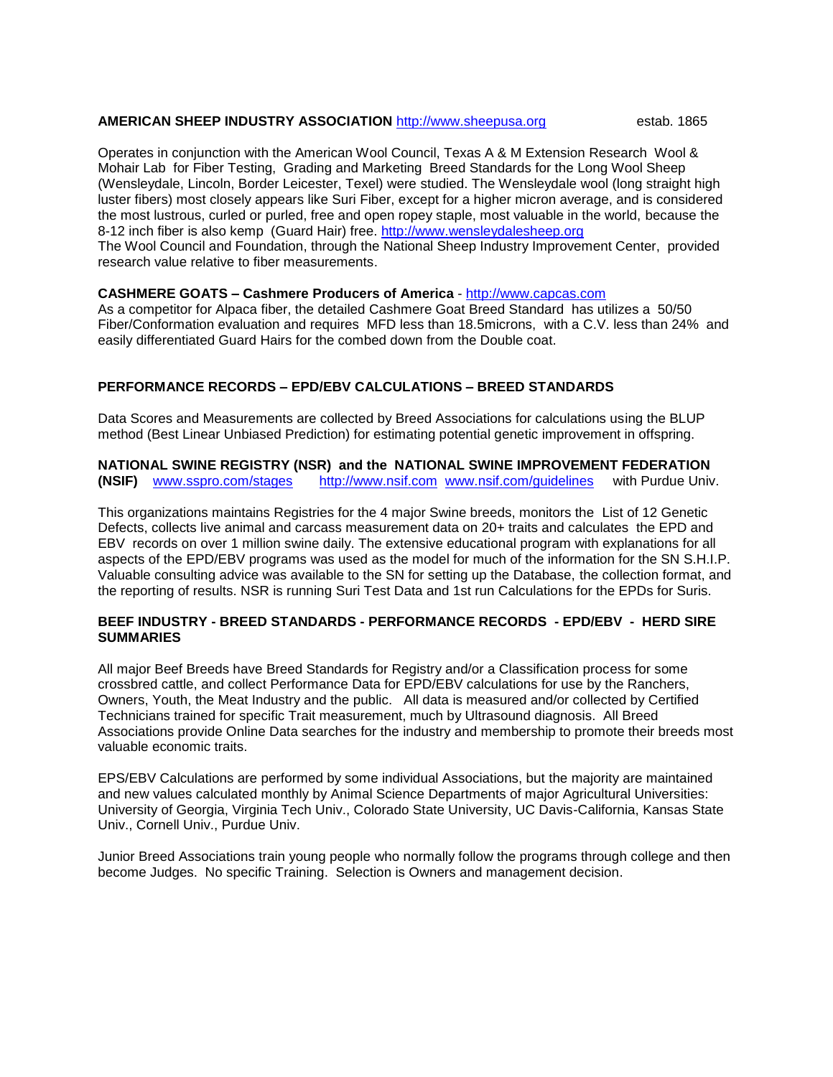#### **AMERICAN SHEEP INDUSTRY ASSOCIATION** [http://www.sheepusa.org](http://www.sheepusa.org/) estab. 1865

Operates in conjunction with the American Wool Council, Texas A & M Extension Research Wool & Mohair Lab for Fiber Testing, Grading and Marketing Breed Standards for the Long Wool Sheep (Wensleydale, Lincoln, Border Leicester, Texel) were studied. The Wensleydale wool (long straight high luster fibers) most closely appears like Suri Fiber, except for a higher micron average, and is considered the most lustrous, curled or purled, free and open ropey staple, most valuable in the world, because the 8-12 inch fiber is also kemp (Guard Hair) free. [http://www.wensleydalesheep.org](http://www.wensleydalesheep.org/) The Wool Council and Foundation, through the National Sheep Industry Improvement Center, provided research value relative to fiber measurements.

#### **CASHMERE GOATS – Cashmere Producers of America** - [http://www.capcas.com](http://www.capcas.com/)

As a competitor for Alpaca fiber, the detailed Cashmere Goat Breed Standard has utilizes a 50/50 Fiber/Conformation evaluation and requires MFD less than 18.5microns, with a C.V. less than 24% and easily differentiated Guard Hairs for the combed down from the Double coat.

#### **PERFORMANCE RECORDS – EPD/EBV CALCULATIONS – BREED STANDARDS**

Data Scores and Measurements are collected by Breed Associations for calculations using the BLUP method (Best Linear Unbiased Prediction) for estimating potential genetic improvement in offspring.

#### **NATIONAL SWINE REGISTRY (NSR) and the NATIONAL SWINE IMPROVEMENT FEDERATION (NSIF)** [www.sspro.com/stages](http://www.sspro.com/stages) [http://www.nsif.com](http://www.nsif.com/) [www.nsif.com/guidelines](http://www.nsif.com/guidelines) with Purdue Univ.

This organizations maintains Registries for the 4 major Swine breeds, monitors the List of 12 Genetic Defects, collects live animal and carcass measurement data on 20+ traits and calculates the EPD and EBV records on over 1 million swine daily. The extensive educational program with explanations for all aspects of the EPD/EBV programs was used as the model for much of the information for the SN S.H.I.P. Valuable consulting advice was available to the SN for setting up the Database, the collection format, and the reporting of results. NSR is running Suri Test Data and 1st run Calculations for the EPDs for Suris.

### **BEEF INDUSTRY - BREED STANDARDS - PERFORMANCE RECORDS - EPD/EBV - HERD SIRE SUMMARIES**

All major Beef Breeds have Breed Standards for Registry and/or a Classification process for some crossbred cattle, and collect Performance Data for EPD/EBV calculations for use by the Ranchers, Owners, Youth, the Meat Industry and the public. All data is measured and/or collected by Certified Technicians trained for specific Trait measurement, much by Ultrasound diagnosis. All Breed Associations provide Online Data searches for the industry and membership to promote their breeds most valuable economic traits.

EPS/EBV Calculations are performed by some individual Associations, but the majority are maintained and new values calculated monthly by Animal Science Departments of major Agricultural Universities: University of Georgia, Virginia Tech Univ., Colorado State University, UC Davis-California, Kansas State Univ., Cornell Univ., Purdue Univ.

Junior Breed Associations train young people who normally follow the programs through college and then become Judges. No specific Training. Selection is Owners and management decision.